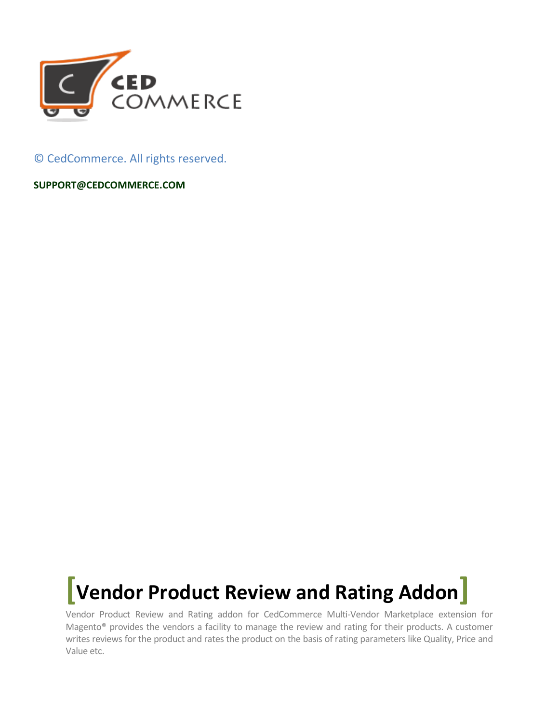

© CedCommerce. All rights reserved.

**SUPPORT@CEDCOMMERCE.COM**

## **[Vendor Product Review and Rating Addon]**

Vendor Product Review and Rating addon for CedCommerce Multi-Vendor Marketplace extension for Magento® provides the vendors a facility to manage the review and rating for their products. A customer writes reviews for the product and rates the product on the basis of rating parameters like Quality, Price and Value etc.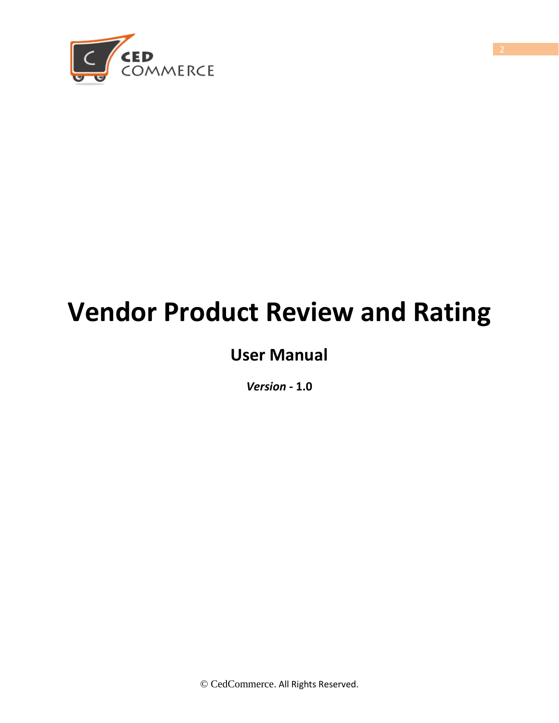

# **Vendor Product Review and Rating**

## **User Manual**

*Version* **- 1.0**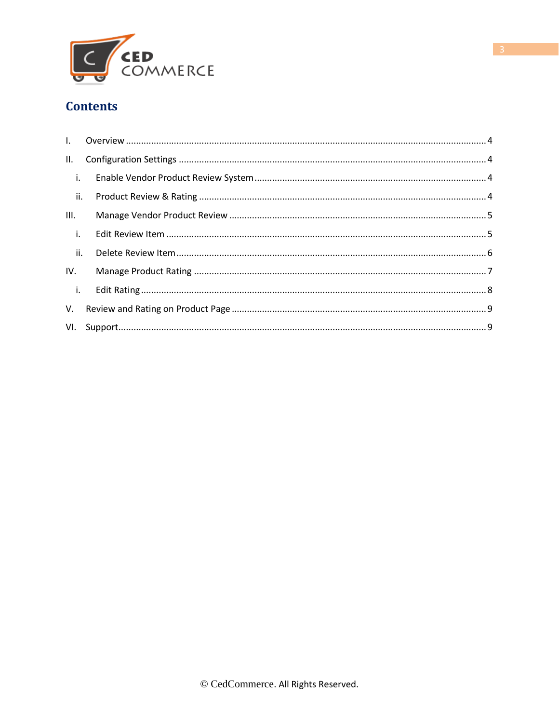

### **Contents**

| II.                          |  |  |
|------------------------------|--|--|
| $\blacksquare$ i.            |  |  |
| $\overline{\phantom{a}}$ ii. |  |  |
| Ш.                           |  |  |
| $\blacksquare$ i.            |  |  |
| $\overline{\mathbf{u}}$ .    |  |  |
| IV.                          |  |  |
| $\blacksquare$ i.            |  |  |
| V.                           |  |  |
|                              |  |  |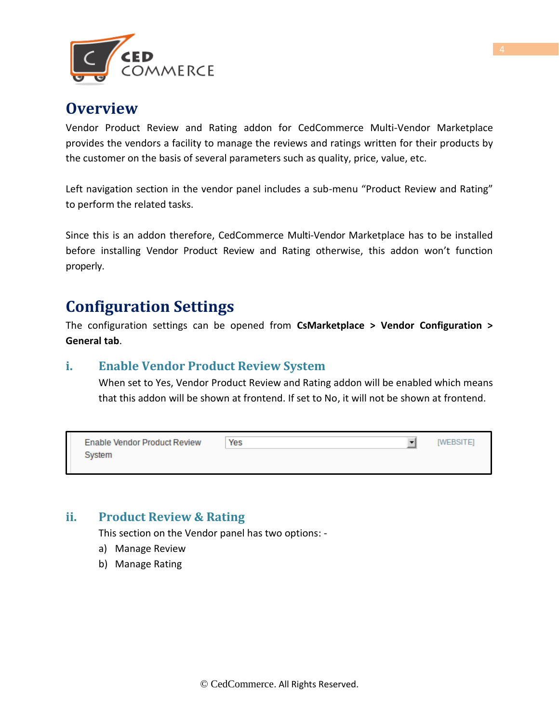

## <span id="page-3-0"></span>**Overview**

Vendor Product Review and Rating addon for CedCommerce Multi-Vendor Marketplace provides the vendors a facility to manage the reviews and ratings written for their products by the customer on the basis of several parameters such as quality, price, value, etc.

Left navigation section in the vendor panel includes a sub-menu "Product Review and Rating" to perform the related tasks.

Since this is an addon therefore, CedCommerce Multi-Vendor Marketplace has to be installed before installing Vendor Product Review and Rating otherwise, this addon won't function properly.

## <span id="page-3-1"></span>**Configuration Settings**

The configuration settings can be opened from **CsMarketplace > Vendor Configuration > General tab**.

#### **i. Enable Vendor Product Review System**

When set to Yes, Vendor Product Review and Rating addon will be enabled which means that this addon will be shown at frontend. If set to No, it will not be shown at frontend.

| <b>Enable Vendor Product Review</b> | Yes | WEBSITEI |
|-------------------------------------|-----|----------|
| System                              |     |          |
|                                     |     |          |

### **ii. Product Review & Rating**

This section on the Vendor panel has two options: -

- a) Manage Review
- b) Manage Rating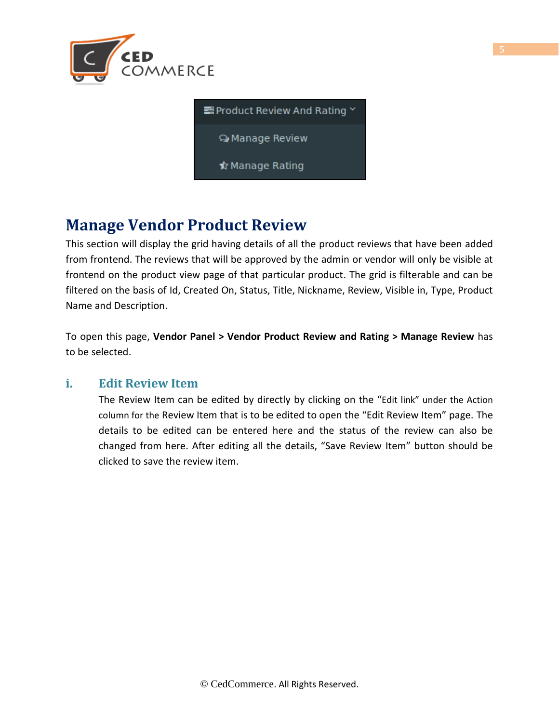



## **Manage Vendor Product Review**

This section will display the grid having details of all the product reviews that have been added from frontend. The reviews that will be approved by the admin or vendor will only be visible at frontend on the product view page of that particular product. The grid is filterable and can be filtered on the basis of Id, Created On, Status, Title, Nickname, Review, Visible in, Type, Product Name and Description.

To open this page, **Vendor Panel > Vendor Product Review and Rating > Manage Review** has to be selected.

#### **i. Edit Review Item**

The Review Item can be edited by directly by clicking on the "Edit link" under the Action column for the Review Item that is to be edited to open the "Edit Review Item" page. The details to be edited can be entered here and the status of the review can also be changed from here. After editing all the details, "Save Review Item" button should be clicked to save the review item.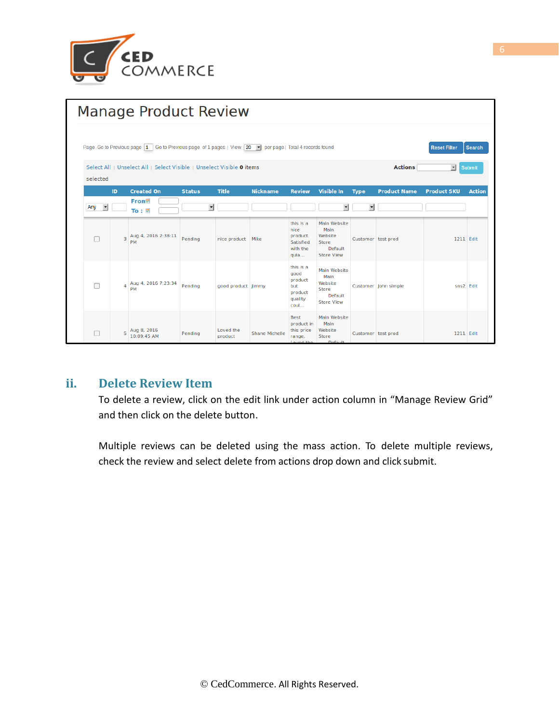

| <b>Manage Product Review</b> |                                                                                                                                                            |                                  |                          |                      |                       |                                                                   |                                                                                 |                    |                      |                    |               |
|------------------------------|------------------------------------------------------------------------------------------------------------------------------------------------------------|----------------------------------|--------------------------|----------------------|-----------------------|-------------------------------------------------------------------|---------------------------------------------------------------------------------|--------------------|----------------------|--------------------|---------------|
|                              | Page Go to Previous page 1 Go to Previous page of 1 pages   View 20 $\rightarrow$ per page   Total 4 records found<br><b>Reset Filter</b><br><b>Search</b> |                                  |                          |                      |                       |                                                                   |                                                                                 |                    |                      |                    |               |
| selected                     | <b>Actions</b><br>Select All   Unselect All   Select Visible   Unselect Visible 0 items<br>$\mathbf{r}$<br><b>Submit</b>                                   |                                  |                          |                      |                       |                                                                   |                                                                                 |                    |                      |                    |               |
|                              | ID                                                                                                                                                         | <b>Created On</b>                | <b>Status</b>            | <b>Title</b>         | <b>Nickname</b>       | <b>Review</b>                                                     | <b>Visible In</b>                                                               | <b>Type</b>        | <b>Product Name</b>  | <b>Product SKU</b> | <b>Action</b> |
| Any<br>$\vert \cdot \vert$   |                                                                                                                                                            | From⊠<br>To: $\Xi$               | $\overline{\phantom{a}}$ |                      |                       |                                                                   |                                                                                 |                    |                      |                    |               |
|                              | 3                                                                                                                                                          | Aug 4, 2016 2:38:11<br><b>PM</b> | Pending                  | nice product Mike    |                       | this is a<br>nice<br>product.<br>Satisfied<br>with the<br>qula    | Main Website<br>Main<br>Website<br><b>Store</b><br>Default<br><b>Store View</b> | Customer test prod |                      | 1211 Edit          |               |
|                              | 4                                                                                                                                                          | Aug 4, 2016 7:23:34<br><b>PM</b> | Pending                  | good product limmy   |                       | this is a<br>good<br>product<br>but<br>product<br>quality<br>coul | Main Website<br>Main<br>Website<br>Store<br>Default<br><b>Store View</b>        |                    | Customer John simple | sns2 Edit          |               |
|                              | 5                                                                                                                                                          | Aug 8, 2016<br>10:09:45 AM       | Pending                  | Loved the<br>product | <b>Shane Michelle</b> | <b>Best</b><br>product in<br>this price<br>range.<br>Lougel the   | Main Website<br>Main<br>Website<br><b>Store</b><br>Default                      | Customer test prod |                      | 1211 Edit          |               |

#### **ii. Delete Review Item**

To delete a review, click on the edit link under action column in "Manage Review Grid" and then click on the delete button.

Multiple reviews can be deleted using the mass action. To delete multiple reviews, check the review and select delete from actions drop down and click submit.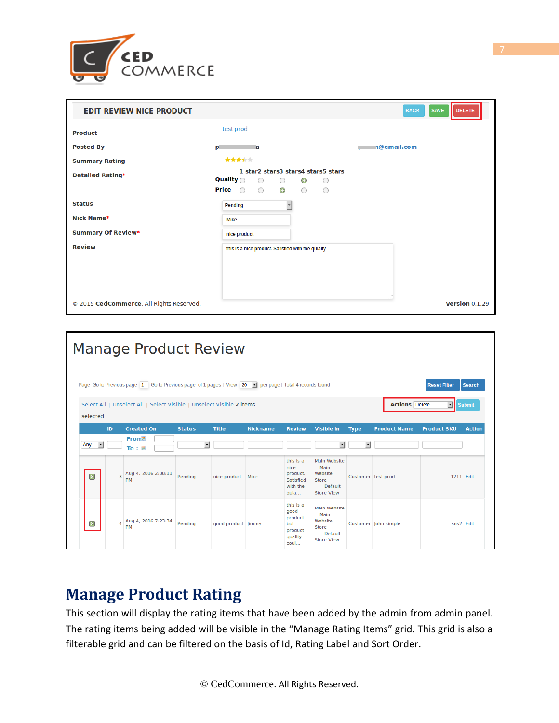

| <b>EDIT REVIEW NICE PRODUCT</b>          |                                                                                                                                                                           | <b>BACK</b><br><b>SAVE</b><br><b>DELETE</b> |
|------------------------------------------|---------------------------------------------------------------------------------------------------------------------------------------------------------------------------|---------------------------------------------|
| <b>Product</b>                           | test prod                                                                                                                                                                 |                                             |
| <b>Posted By</b>                         | p<br>$\overline{a}$                                                                                                                                                       | n@email.com                                 |
| <b>Summary Rating</b>                    | 青青青宝宝                                                                                                                                                                     |                                             |
| <b>Detailed Rating*</b>                  | 1 star2 stars3 stars4 stars5 stars<br><b>Quality</b><br>$\circ$<br>$\bigcirc$<br>$_{\odot}$<br>0<br><b>Price</b> $\bigcirc$<br>$\circ$<br>$\bullet$<br>$\circ$<br>$\circ$ |                                             |
| <b>Status</b>                            | $\overline{\phantom{0}}$<br>Pending                                                                                                                                       |                                             |
| Nick Name*                               | Mike                                                                                                                                                                      |                                             |
| <b>Summary Of Review*</b>                | nice product                                                                                                                                                              |                                             |
| <b>Review</b>                            | this is a nice product. Satisfied with the qulaity                                                                                                                        |                                             |
|                                          |                                                                                                                                                                           |                                             |
| © 2015 CedCommerce. All Rights Reserved. |                                                                                                                                                                           | Version 0.1.29                              |

| <b>Manage Product Review</b> |              |                |                                                                                                        |                               |                    |                 |                                                                   |                                                                          |                               |                       |                         |               |
|------------------------------|--------------|----------------|--------------------------------------------------------------------------------------------------------|-------------------------------|--------------------|-----------------|-------------------------------------------------------------------|--------------------------------------------------------------------------|-------------------------------|-----------------------|-------------------------|---------------|
|                              |              |                | Page Go to Previous page 1 Go to Previous page of 1 pages   View 20 - per page   Total 4 records found |                               |                    |                 |                                                                   |                                                                          |                               |                       | <b>Reset Filter</b>     | <b>Search</b> |
| selected                     |              |                | Select All   Unselect All   Select Visible   Unselect Visible 2 items                                  |                               |                    |                 |                                                                   |                                                                          |                               | <b>Actions</b> Delete | $\overline{\mathbf{r}}$ | <b>Submit</b> |
| Any                          | $\mathbf{r}$ | ID             | <b>Created On</b><br>From<br>To: $E$                                                                   | <b>Status</b><br>$\mathbf{r}$ | <b>Title</b>       | <b>Nickname</b> | <b>Review</b>                                                     | <b>Visible In</b><br>$\mathbf{r}$                                        | <b>Type</b><br>$\blacksquare$ | <b>Product Name</b>   | <b>Product SKU</b>      | <b>Action</b> |
| $\Xi$                        |              | 3              | Aug 4, 2016 2:38:11<br>PM                                                                              | Pending                       | nice product       | Mike            | this is a<br>nice<br>product.<br>Satisfied<br>with the<br>quia    | Main Website<br>Main<br>Website<br>Store<br>Default<br><b>Store View</b> | Customer test prod            |                       | 1211 Edit               |               |
| 国                            |              | $\overline{a}$ | Aug 4, 2016 7:23:34<br>PM                                                                              | Pending                       | good product Jimmy |                 | this is a<br>good<br>product<br>but<br>product<br>quality<br>coul | Main Website<br>Main<br>Website<br>Store<br>Default<br><b>Store View</b> |                               | Customer John simple  | sns2 Edit               |               |

## **Manage Product Rating**

This section will display the rating items that have been added by the admin from admin panel. The rating items being added will be visible in the "Manage Rating Items" grid. This grid is also a filterable grid and can be filtered on the basis of Id, Rating Label and Sort Order.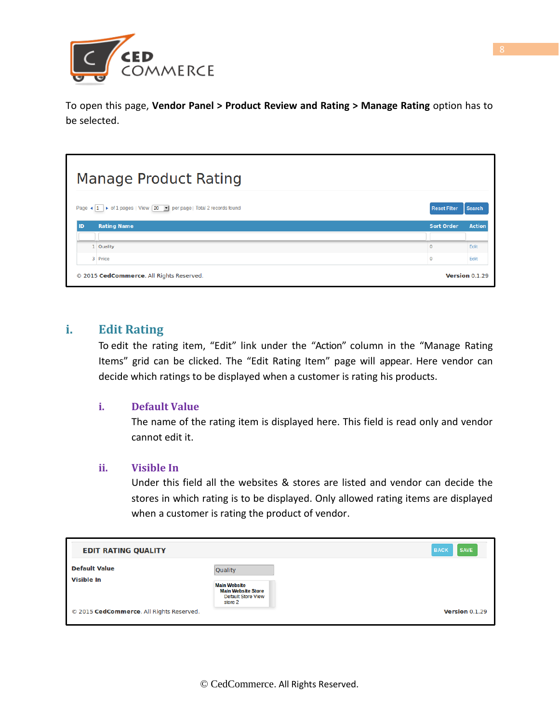

To open this page, **Vendor Panel > Product Review and Rating > Manage Rating** option has to be selected.

#### **Manage Product Rating** Reset Filter Page ◀ 1 ▶ of 1 pages | View 20 ▼ per page | Total 2 records found Search ID. **Rating Name** Sort Order **Action** 1 Quality  $\overline{0}$ Edit 3 Price  $\overline{0}$ Edit Version 0.1.29 © 2015 CedCommerce. All Rights Reserved.

#### **i. Edit Rating**

To edit the rating item, "Edit" link under the "Action" column in the "Manage Rating Items" grid can be clicked. The "Edit Rating Item" page will appear. Here vendor can decide which ratings to be displayed when a customer is rating his products.

#### **i. Default Value**

The name of the rating item is displayed here. This field is read only and vendor cannot edit it.

#### **ii. Visible In**

Under this field all the websites & stores are listed and vendor can decide the stores in which rating is to be displayed. Only allowed rating items are displayed when a customer is rating the product of vendor.

| <b>EDIT RATING QUALITY</b>               |                                                                                                            | <b>SAVE</b><br><b>BACK</b> |
|------------------------------------------|------------------------------------------------------------------------------------------------------------|----------------------------|
| <b>Default Value</b><br>Visible In       | <b>Quality</b><br><b>Main Website</b><br><b>Main Website Store</b><br><b>Default Store View</b><br>store 2 |                            |
| © 2015 CedCommerce. All Rights Reserved. |                                                                                                            | Version 0.1.29             |